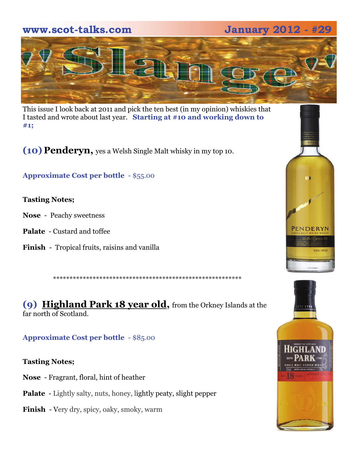**www.scot-talks.com January 2012 - #29** 



This issue I look back at 2011 and pick the ten best (in my opinion) whiskies that I tasted and wrote about last year. **Starting at #10 and working down to #1;**

**(10) Penderyn,** yes a Welsh Single Malt whisky in my top 10.

**Approximate Cost per bottle** - \$55.00

### **Tasting Notes;**

- **Nose**  Peachy sweetness
- **Palate**  Custard and toffee
- **Finish**  Tropical fruits, raisins and vanilla

\*\*\*\*\*\*\*\*\*\*\*\*\*\*\*\*\*\*\*\*\*\*\*\*\*\*\*\*\*\*\*\*\*\*\*\*\*\*\*\*\*\*\*\*\*\*\*\*\*\*\*\*\*\*\*\*\*

**(9) Highland Park 18 year old,** from the Orkney Islands at the far north of Scotland.

### **Approximate Cost per bottle** - \$85.00

### **Tasting Notes;**

- **Nose**  Fragrant, floral, hint of heather
- Palate Lightly salty, nuts, honey, lightly peaty, slight pepper
- **Finish**  Very dry, spicy, oaky, smoky, warm



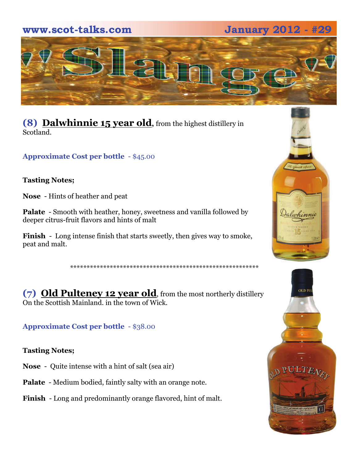## **www.scot-talks.com January 2012 - #29**



**(8) Dalwhinnie 15 year old,** from the highest distillery in Scotland.

**Approximate Cost per bottle** - \$45.00

### **Tasting Notes;**

**Nose** - Hints of heather and peat

**Palate** - Smooth with heather, honey, sweetness and vanilla followed by deeper citrus-fruit flavors and hints of malt

**Finish** - Long intense finish that starts sweetly, then gives way to smoke, peat and malt.

\*\*\*\*\*\*\*\*\*\*\*\*\*\*\*\*\*\*\*\*\*\*\*\*\*\*\*\*\*\*\*\*\*\*\*\*\*\*\*\*\*\*\*\*\*\*\*\*\*\*\*\*\*\*\*\*\*

**(7) Old Pulteney 12 year old**, from the most northerly distillery On the Scottish Mainland. in the town of Wick.

**Approximate Cost per bottle** - \$38.00

**Tasting Notes;** 

**Nose** - Quite intense with a hint of salt (sea air)

**Palate** - Medium bodied, faintly salty with an orange note.

**Finish** - Long and predominantly orange flavored, hint of malt.



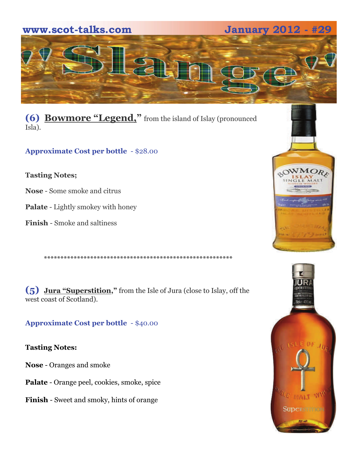

**(6) Bowmore "Legend,"** from the island of Islay (pronounced Isla).

**Approximate Cost per bottle** - \$28.00

**Tasting Notes;** 

**Nose** - Some smoke and citrus

**Palate** - Lightly smokey with honey

**Finish** - Smoke and saltiness

**(5) Jura "Superstition,"** from the Isle of Jura (close to Islay, off the west coast of Scotland).

\*\*\*\*\*\*\*\*\*\*\*\*\*\*\*\*\*\*\*\*\*\*\*\*\*\*\*\*\*\*\*\*\*\*\*\*\*\*\*\*\*\*\*\*\*\*\*\*\*\*\*\*\*\*\*\*\*

**Approximate Cost per bottle** - \$40.00

**Tasting Notes:** 

**Nose** - Oranges and smoke

**Palate** - Orange peel, cookies, smoke, spice

**Finish** - Sweet and smoky, hints of orange



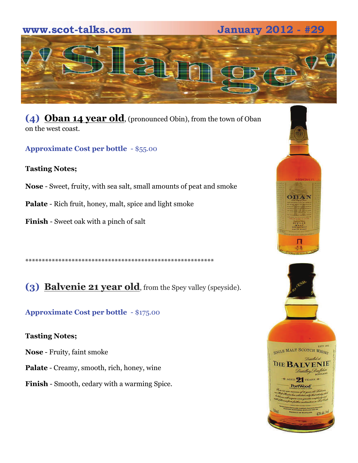# **www.scot-talks.com January 2012 - #29**  $\sim$

**(4) Oban 14 year old**, (pronounced Obin), from the town of Oban on the west coast.

**Approximate Cost per bottle** - \$55.00

### **Tasting Notes;**

- **Nose**  Sweet, fruity, with sea salt, small amounts of peat and smoke
- **Palate**  Rich fruit, honey, malt, spice and light smoke
- **Finish**  Sweet oak with a pinch of salt

\*\*\*\*\*\*\*\*\*\*\*\*\*\*\*\*\*\*\*\*\*\*\*\*\*\*\*\*\*\*\*\*\*\*\*\*\*\*\*\*\*\*\*\*\*\*\*\*\*\*\*\*\*\*\*\*\*

# **(3) Balvenie 21 year old**, from the Spey valley (speyside).

## **Approximate Cost per bottle** - \$175.00

### **Tasting Notes;**

- **Nose** Fruity, faint smoke
- **Palate** Creamy, smooth, rich, honey, wine
- **Finish** Smooth, cedary with a warming Spice.

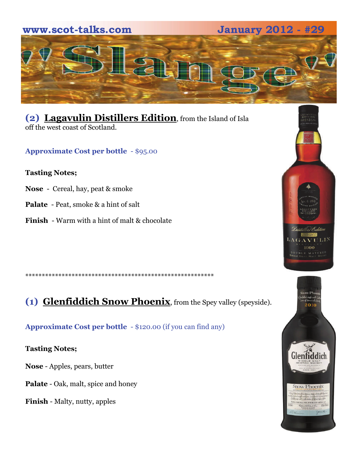

**(2) Lagavulin Distillers Edition**, from the Island of Isla off the west coast of Scotland.

**Approximate Cost per bottle** - \$95.00

### **Tasting Notes;**

- **Nose**  Cereal, hay, peat & smoke
- **Palate**  Peat, smoke & a hint of salt
- **Finish**  Warm with a hint of malt & chocolate

\*\*\*\*\*\*\*\*\*\*\*\*\*\*\*\*\*\*\*\*\*\*\*\*\*\*\*\*\*\*\*\*\*\*\*\*\*\*\*\*\*\*\*\*\*\*\*\*\*\*\*\*\*\*\*\*\*

**(1) Glenfiddich Snow Phoenix**, from the Spey valley (speyside).

**Approximate Cost per bottle** - \$120.00 (if you can find any)

**Tasting Notes;** 

**Nose** - Apples, pears, butter

**Palate** - Oak, malt, spice and honey

**Finish** - Malty, nutty, apples